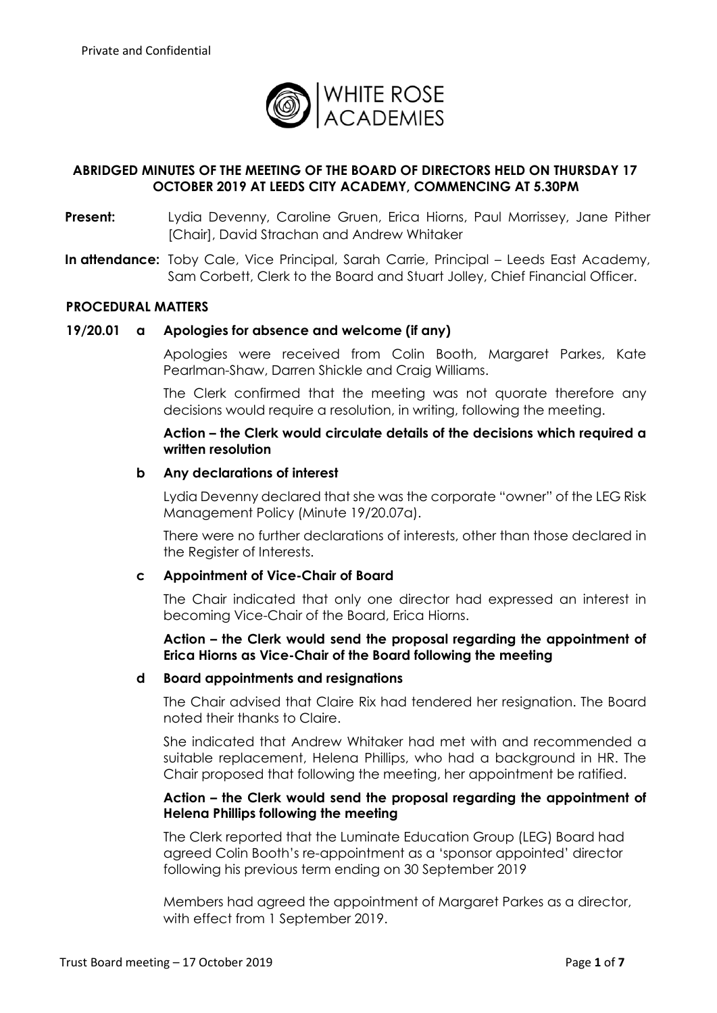

# **ABRIDGED MINUTES OF THE MEETING OF THE BOARD OF DIRECTORS HELD ON THURSDAY 17 OCTOBER 2019 AT LEEDS CITY ACADEMY, COMMENCING AT 5.30PM**

- **Present:** Lydia Devenny, Caroline Gruen, Erica Hiorns, Paul Morrissey, Jane Pither [Chair], David Strachan and Andrew Whitaker
- **In attendance:** Toby Cale, Vice Principal, Sarah Carrie, Principal Leeds East Academy, Sam Corbett, Clerk to the Board and Stuart Jolley, Chief Financial Officer.

#### **PROCEDURAL MATTERS**

#### **19/20.01 a Apologies for absence and welcome (if any)**

Apologies were received from Colin Booth, Margaret Parkes, Kate Pearlman-Shaw, Darren Shickle and Craig Williams.

The Clerk confirmed that the meeting was not quorate therefore any decisions would require a resolution, in writing, following the meeting.

## **Action – the Clerk would circulate details of the decisions which required a written resolution**

#### **b Any declarations of interest**

Lydia Devenny declared that she was the corporate "owner" of the LEG Risk Management Policy (Minute 19/20.07a).

There were no further declarations of interests, other than those declared in the Register of Interests.

#### **c Appointment of Vice-Chair of Board**

The Chair indicated that only one director had expressed an interest in becoming Vice-Chair of the Board, Erica Hiorns.

### **Action – the Clerk would send the proposal regarding the appointment of Erica Hiorns as Vice-Chair of the Board following the meeting**

#### **d Board appointments and resignations**

The Chair advised that Claire Rix had tendered her resignation. The Board noted their thanks to Claire.

She indicated that Andrew Whitaker had met with and recommended a suitable replacement, Helena Phillips, who had a background in HR. The Chair proposed that following the meeting, her appointment be ratified.

## **Action – the Clerk would send the proposal regarding the appointment of Helena Phillips following the meeting**

The Clerk reported that the Luminate Education Group (LEG) Board had agreed Colin Booth's re-appointment as a 'sponsor appointed' director following his previous term ending on 30 September 2019

Members had agreed the appointment of Margaret Parkes as a director, with effect from 1 September 2019.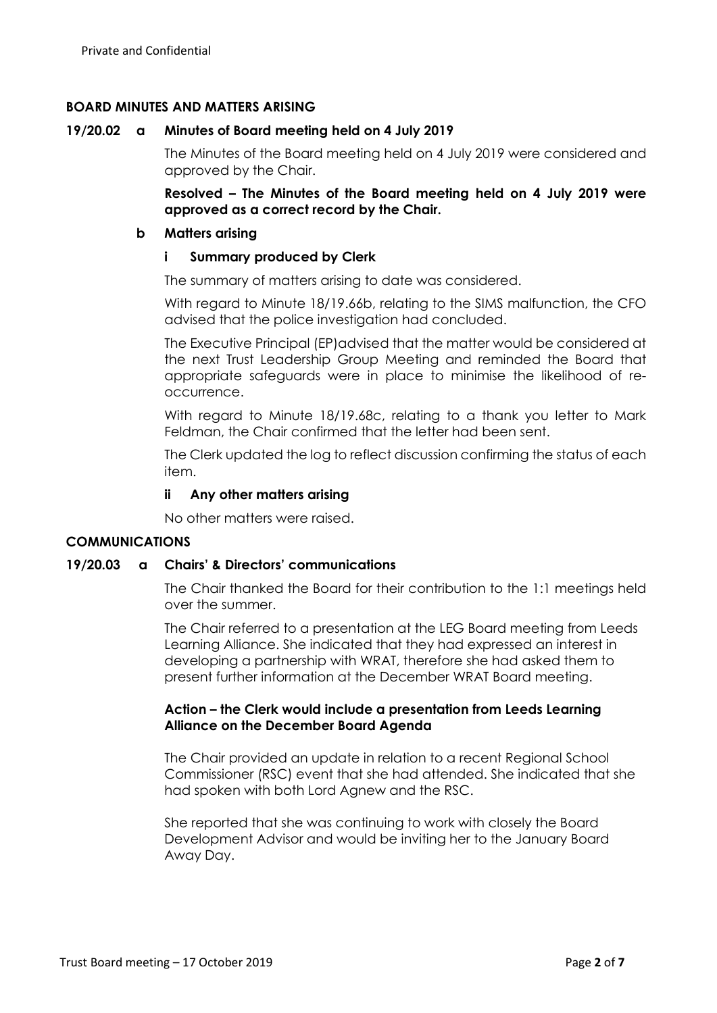## **BOARD MINUTES AND MATTERS ARISING**

### **19/20.02 a Minutes of Board meeting held on 4 July 2019**

The Minutes of the Board meeting held on 4 July 2019 were considered and approved by the Chair.

**Resolved – The Minutes of the Board meeting held on 4 July 2019 were approved as a correct record by the Chair.**

#### **b Matters arising**

### **i Summary produced by Clerk**

The summary of matters arising to date was considered.

With regard to Minute 18/19.66b, relating to the SIMS malfunction, the CFO advised that the police investigation had concluded.

The Executive Principal (EP)advised that the matter would be considered at the next Trust Leadership Group Meeting and reminded the Board that appropriate safeguards were in place to minimise the likelihood of reoccurrence.

With regard to Minute 18/19.68c, relating to a thank you letter to Mark Feldman, the Chair confirmed that the letter had been sent.

The Clerk updated the log to reflect discussion confirming the status of each item.

## **ii Any other matters arising**

No other matters were raised.

## **COMMUNICATIONS**

#### **19/20.03 a Chairs' & Directors' communications**

The Chair thanked the Board for their contribution to the 1:1 meetings held over the summer.

The Chair referred to a presentation at the LEG Board meeting from Leeds Learning Alliance. She indicated that they had expressed an interest in developing a partnership with WRAT, therefore she had asked them to present further information at the December WRAT Board meeting.

## **Action – the Clerk would include a presentation from Leeds Learning Alliance on the December Board Agenda**

The Chair provided an update in relation to a recent Regional School Commissioner (RSC) event that she had attended. She indicated that she had spoken with both Lord Agnew and the RSC.

She reported that she was continuing to work with closely the Board Development Advisor and would be inviting her to the January Board Away Day.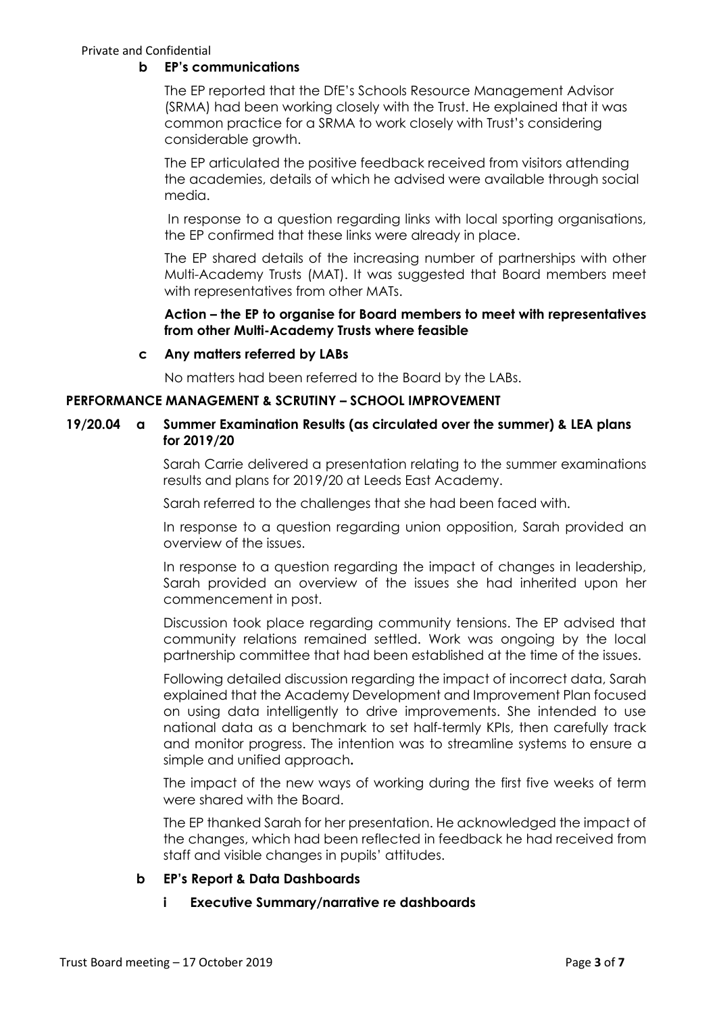Private and Confidential

## **b EP's communications**

The EP reported that the DfE's Schools Resource Management Advisor (SRMA) had been working closely with the Trust. He explained that it was common practice for a SRMA to work closely with Trust's considering considerable growth.

The EP articulated the positive feedback received from visitors attending the academies, details of which he advised were available through social media.

In response to a question regarding links with local sporting organisations, the EP confirmed that these links were already in place.

The EP shared details of the increasing number of partnerships with other Multi-Academy Trusts (MAT). It was suggested that Board members meet with representatives from other MATs.

## **Action – the EP to organise for Board members to meet with representatives from other Multi-Academy Trusts where feasible**

## **c Any matters referred by LABs**

No matters had been referred to the Board by the LABs.

## **PERFORMANCE MANAGEMENT & SCRUTINY – SCHOOL IMPROVEMENT**

## **19/20.04 a Summer Examination Results (as circulated over the summer) & LEA plans for 2019/20**

Sarah Carrie delivered a presentation relating to the summer examinations results and plans for 2019/20 at Leeds East Academy.

Sarah referred to the challenges that she had been faced with.

In response to a question regarding union opposition, Sarah provided an overview of the issues.

In response to a question regarding the impact of changes in leadership, Sarah provided an overview of the issues she had inherited upon her commencement in post.

Discussion took place regarding community tensions. The EP advised that community relations remained settled. Work was ongoing by the local partnership committee that had been established at the time of the issues.

Following detailed discussion regarding the impact of incorrect data, Sarah explained that the Academy Development and Improvement Plan focused on using data intelligently to drive improvements. She intended to use national data as a benchmark to set half-termly KPIs, then carefully track and monitor progress. The intention was to streamline systems to ensure a simple and unified approach**.**

The impact of the new ways of working during the first five weeks of term were shared with the Board.

The EP thanked Sarah for her presentation. He acknowledged the impact of the changes, which had been reflected in feedback he had received from staff and visible changes in pupils' attitudes.

# **b EP's Report & Data Dashboards**

## **i Executive Summary/narrative re dashboards**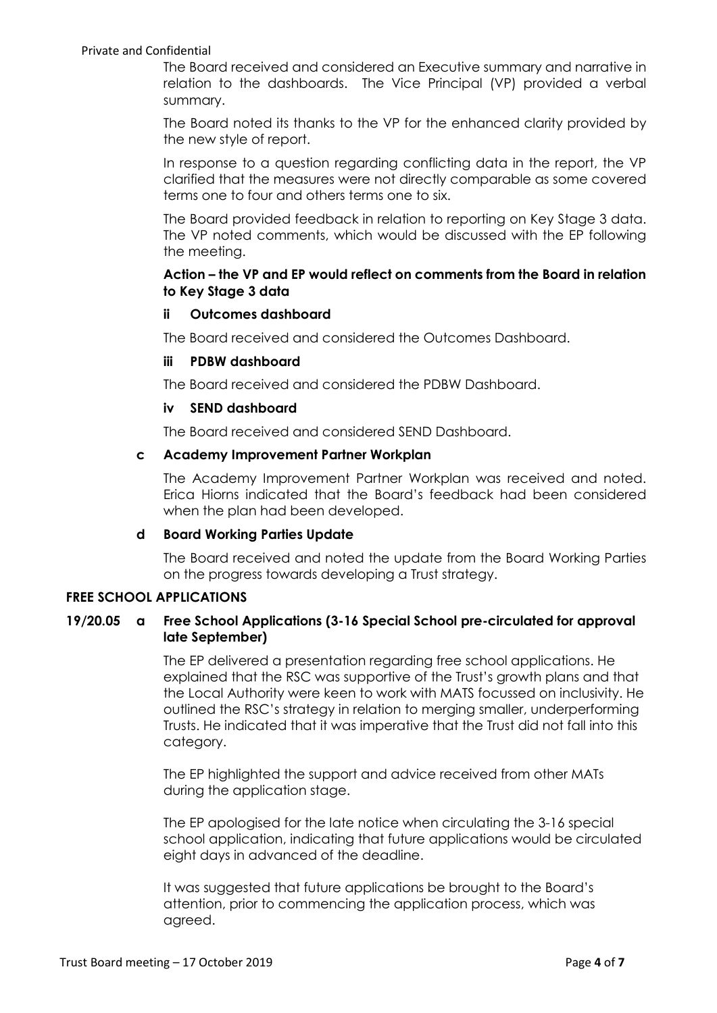#### Private and Confidential

The Board received and considered an Executive summary and narrative in relation to the dashboards. The Vice Principal (VP) provided a verbal summary.

The Board noted its thanks to the VP for the enhanced clarity provided by the new style of report.

In response to a question regarding conflicting data in the report, the VP clarified that the measures were not directly comparable as some covered terms one to four and others terms one to six.

The Board provided feedback in relation to reporting on Key Stage 3 data. The VP noted comments, which would be discussed with the EP following the meeting.

## **Action – the VP and EP would reflect on comments from the Board in relation to Key Stage 3 data**

#### **ii Outcomes dashboard**

The Board received and considered the Outcomes Dashboard.

#### **iii PDBW dashboard**

The Board received and considered the PDBW Dashboard.

#### **iv SEND dashboard**

The Board received and considered SEND Dashboard.

#### **c Academy Improvement Partner Workplan**

The Academy Improvement Partner Workplan was received and noted. Erica Hiorns indicated that the Board's feedback had been considered when the plan had been developed.

## **d Board Working Parties Update**

The Board received and noted the update from the Board Working Parties on the progress towards developing a Trust strategy.

## **FREE SCHOOL APPLICATIONS**

## **19/20.05 a Free School Applications (3-16 Special School pre-circulated for approval late September)**

The EP delivered a presentation regarding free school applications. He explained that the RSC was supportive of the Trust's growth plans and that the Local Authority were keen to work with MATS focussed on inclusivity. He outlined the RSC's strategy in relation to merging smaller, underperforming Trusts. He indicated that it was imperative that the Trust did not fall into this category.

The EP highlighted the support and advice received from other MATs during the application stage.

The EP apologised for the late notice when circulating the 3-16 special school application, indicating that future applications would be circulated eight days in advanced of the deadline.

It was suggested that future applications be brought to the Board's attention, prior to commencing the application process, which was agreed.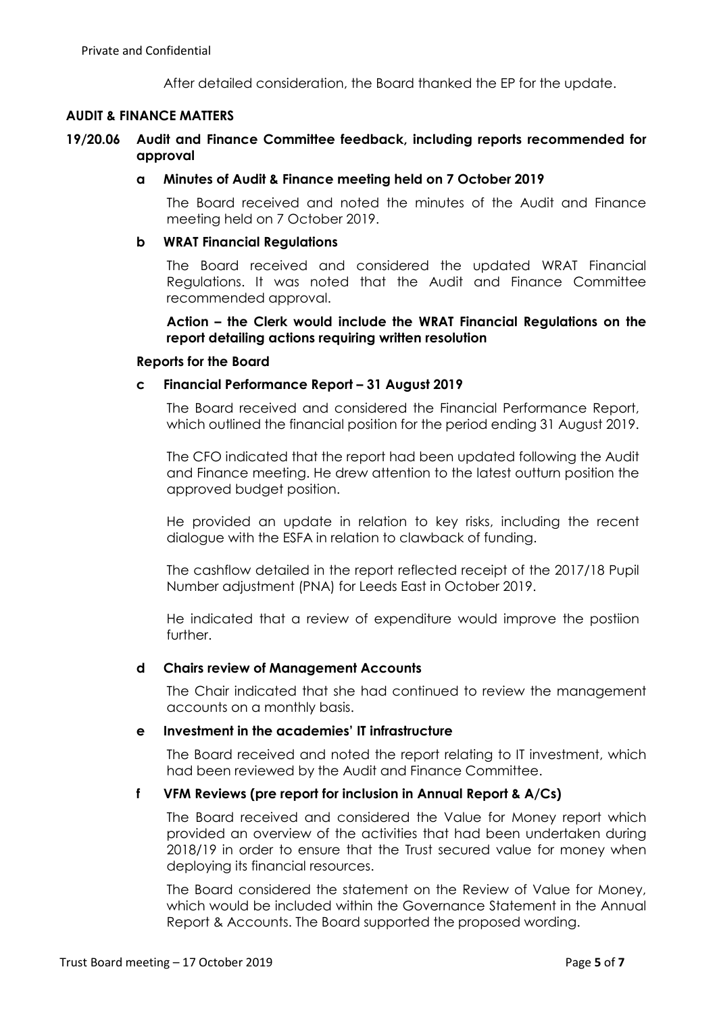After detailed consideration, the Board thanked the EP for the update.

## **AUDIT & FINANCE MATTERS**

## **19/20.06 Audit and Finance Committee feedback, including reports recommended for approval**

### **a Minutes of Audit & Finance meeting held on 7 October 2019**

The Board received and noted the minutes of the Audit and Finance meeting held on 7 October 2019.

#### **b WRAT Financial Regulations**

The Board received and considered the updated WRAT Financial Regulations. It was noted that the Audit and Finance Committee recommended approval.

**Action – the Clerk would include the WRAT Financial Regulations on the report detailing actions requiring written resolution**

#### **Reports for the Board**

#### **c Financial Performance Report – 31 August 2019**

The Board received and considered the Financial Performance Report, which outlined the financial position for the period ending 31 August 2019.

The CFO indicated that the report had been updated following the Audit and Finance meeting. He drew attention to the latest outturn position the approved budget position.

He provided an update in relation to key risks, including the recent dialogue with the ESFA in relation to clawback of funding.

The cashflow detailed in the report reflected receipt of the 2017/18 Pupil Number adjustment (PNA) for Leeds East in October 2019.

He indicated that a review of expenditure would improve the postiion further.

## **d Chairs review of Management Accounts**

The Chair indicated that she had continued to review the management accounts on a monthly basis.

### **e Investment in the academies' IT infrastructure**

The Board received and noted the report relating to IT investment, which had been reviewed by the Audit and Finance Committee.

## **f VFM Reviews (pre report for inclusion in Annual Report & A/Cs)**

The Board received and considered the Value for Money report which provided an overview of the activities that had been undertaken during 2018/19 in order to ensure that the Trust secured value for money when deploying its financial resources.

The Board considered the statement on the Review of Value for Money, which would be included within the Governance Statement in the Annual Report & Accounts. The Board supported the proposed wording.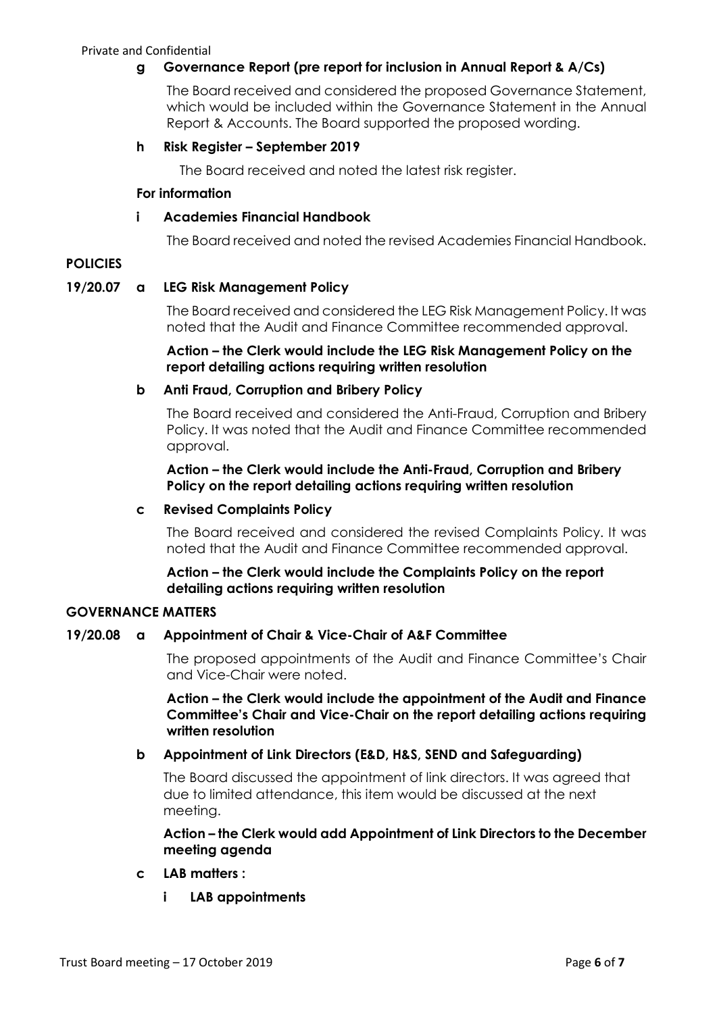# **g Governance Report (pre report for inclusion in Annual Report & A/Cs)**

The Board received and considered the proposed Governance Statement, which would be included within the Governance Statement in the Annual Report & Accounts. The Board supported the proposed wording.

## **h Risk Register – September 2019**

The Board received and noted the latest risk register.

## **For information**

## **i Academies Financial Handbook**

The Board received and noted the revised Academies Financial Handbook.

# **POLICIES**

## **19/20.07 a LEG Risk Management Policy**

The Board received and considered the LEG Risk Management Policy. It was noted that the Audit and Finance Committee recommended approval.

## **Action – the Clerk would include the LEG Risk Management Policy on the report detailing actions requiring written resolution**

## **b Anti Fraud, Corruption and Bribery Policy**

The Board received and considered the Anti-Fraud, Corruption and Bribery Policy. It was noted that the Audit and Finance Committee recommended approval.

## **Action – the Clerk would include the Anti-Fraud, Corruption and Bribery Policy on the report detailing actions requiring written resolution**

## **c Revised Complaints Policy**

The Board received and considered the revised Complaints Policy. It was noted that the Audit and Finance Committee recommended approval.

## **Action – the Clerk would include the Complaints Policy on the report detailing actions requiring written resolution**

## **GOVERNANCE MATTERS**

## **19/20.08 a Appointment of Chair & Vice-Chair of A&F Committee**

The proposed appointments of the Audit and Finance Committee's Chair and Vice-Chair were noted.

**Action – the Clerk would include the appointment of the Audit and Finance Committee's Chair and Vice-Chair on the report detailing actions requiring written resolution**

# **b Appointment of Link Directors (E&D, H&S, SEND and Safeguarding)**

The Board discussed the appointment of link directors. It was agreed that due to limited attendance, this item would be discussed at the next meeting.

**Action – the Clerk would add Appointment of Link Directors to the December meeting agenda** 

## **c LAB matters :**

**i LAB appointments**